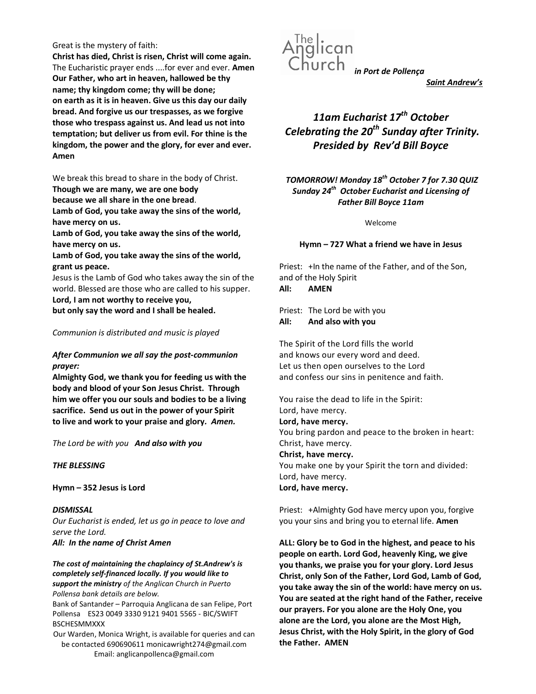#### Great is the mystery of faith:

Christ has died, Christ is risen, Christ will come again. The Eucharistic prayer ends ....for ever and ever. Amen Our Father, who art in heaven, hallowed be thy name; thy kingdom come; thy will be done; on earth as it is in heaven. Give us this day our daily bread. And forgive us our trespasses, as we forgive those who trespass against us. And lead us not into temptation; but deliver us from evil. For thine is the kingdom, the power and the glory, for ever and ever. Amen

We break this bread to share in the body of Christ.

Though we are many, we are one body

because we all share in the one bread.

Lamb of God, you take away the sins of the world, have mercy on us.

Lamb of God, you take away the sins of the world, have mercy on us.

Lamb of God, you take away the sins of the world, grant us peace.

Jesus is the Lamb of God who takes away the sin of the world. Blessed are those who are called to his supper. Lord, I am not worthy to receive you,

but only say the word and I shall be healed.

## Communion is distributed and music is played

## After Communion we all say the post-communion prayer:

Almighty God, we thank you for feeding us with the body and blood of your Son Jesus Christ. Through him we offer you our souls and bodies to be a living sacrifice. Send us out in the power of your Spirit to live and work to your praise and glory. Amen.

The Lord be with you And also with you

## THE BLESSING

Hymn – 352 Jesus is Lord

**DISMISSAL** Our Eucharist is ended, let us go in peace to love and serve the Lord. All: In the name of Christ Amen

The cost of maintaining the chaplaincy of St.Andrew's is completely self-financed locally. If you would like to support the ministry of the Anglican Church in Puerto Pollensa bank details are below.

Bank of Santander – Parroquia Anglicana de san Felipe, Port Pollensa ES23 0049 3330 9121 9401 5565 - BIC/SWIFT BSCHESMMXXX

Our Warden, Monica Wright, is available for queries and can be contacted 690690611 monicawright274@gmail.com Email: anglicanpollenca@gmail.com



Saint Andrew's

# 11am Eucharist 17<sup>th</sup> October Celebrating the  $20<sup>th</sup>$  Sunday after Trinity. Presided by Rev'd Bill Boyce

TOMORROW! Monday 18<sup>th</sup> October 7 for 7.30 QUIZ Sunday 24<sup>th</sup> October Eucharist and Licensing of Father Bill Boyce 11am

Welcome

## Hymn – 727 What a friend we have in Jesus

Priest: +In the name of the Father, and of the Son, and of the Holy Spirit All: AMEN

Priest: The Lord be with you All: And also with you

The Spirit of the Lord fills the world and knows our every word and deed. Let us then open ourselves to the Lord and confess our sins in penitence and faith.

You raise the dead to life in the Spirit: Lord, have mercy. Lord, have mercy. You bring pardon and peace to the broken in heart: Christ, have mercy. Christ, have mercy. You make one by your Spirit the torn and divided: Lord, have mercy. Lord, have mercy.

Priest: +Almighty God have mercy upon you, forgive you your sins and bring you to eternal life. Amen

ALL: Glory be to God in the highest, and peace to his people on earth. Lord God, heavenly King, we give you thanks, we praise you for your glory. Lord Jesus Christ, only Son of the Father, Lord God, Lamb of God, you take away the sin of the world: have mercy on us. You are seated at the right hand of the Father, receive our prayers. For you alone are the Holy One, you alone are the Lord, you alone are the Most High, Jesus Christ, with the Holy Spirit, in the glory of God the Father. AMEN